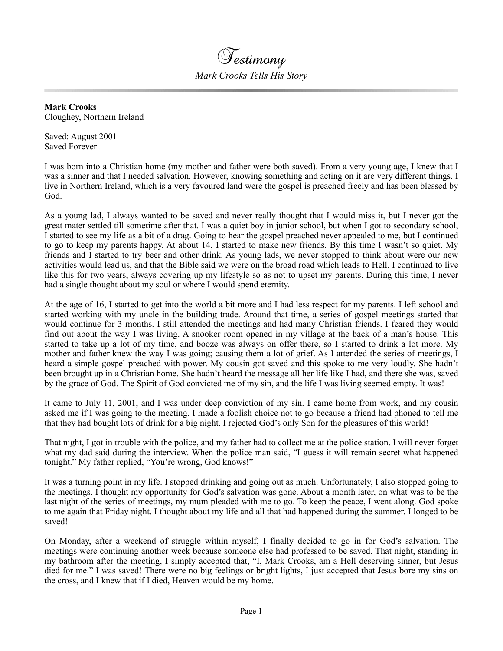

**Mark Crooks** Cloughey, Northern Ireland

Saved: August 2001 Saved Forever

I was born into a Christian home (my mother and father were both saved). From a very young age, I knew that I was a sinner and that I needed salvation. However, knowing something and acting on it are very different things. I live in Northern Ireland, which is a very favoured land were the gospel is preached freely and has been blessed by God.

As a young lad, I always wanted to be saved and never really thought that I would miss it, but I never got the great mater settled till sometime after that. I was a quiet boy in junior school, but when I got to secondary school, I started to see my life as a bit of a drag. Going to hear the gospel preached never appealed to me, but I continued to go to keep my parents happy. At about 14, I started to make new friends. By this time I wasn't so quiet. My friends and I started to try beer and other drink. As young lads, we never stopped to think about were our new activities would lead us, and that the Bible said we were on the broad road which leads to Hell. I continued to live like this for two years, always covering up my lifestyle so as not to upset my parents. During this time, I never had a single thought about my soul or where I would spend eternity.

At the age of 16, I started to get into the world a bit more and I had less respect for my parents. I left school and started working with my uncle in the building trade. Around that time, a series of gospel meetings started that would continue for 3 months. I still attended the meetings and had many Christian friends. I feared they would find out about the way I was living. A snooker room opened in my village at the back of a man's house. This started to take up a lot of my time, and booze was always on offer there, so I started to drink a lot more. My mother and father knew the way I was going; causing them a lot of grief. As I attended the series of meetings, I heard a simple gospel preached with power. My cousin got saved and this spoke to me very loudly. She hadn't been brought up in a Christian home. She hadn't heard the message all her life like I had, and there she was, saved by the grace of God. The Spirit of God convicted me of my sin, and the life I was living seemed empty. It was!

It came to July 11, 2001, and I was under deep conviction of my sin. I came home from work, and my cousin asked me if I was going to the meeting. I made a foolish choice not to go because a friend had phoned to tell me that they had bought lots of drink for a big night. I rejected God's only Son for the pleasures of this world!

That night, I got in trouble with the police, and my father had to collect me at the police station. I will never forget what my dad said during the interview. When the police man said, "I guess it will remain secret what happened tonight." My father replied, "You're wrong, God knows!"

It was a turning point in my life. I stopped drinking and going out as much. Unfortunately, I also stopped going to the meetings. I thought my opportunity for God's salvation was gone. About a month later, on what was to be the last night of the series of meetings, my mum pleaded with me to go. To keep the peace, I went along. God spoke to me again that Friday night. I thought about my life and all that had happened during the summer. I longed to be saved!

On Monday, after a weekend of struggle within myself, I finally decided to go in for God's salvation. The meetings were continuing another week because someone else had professed to be saved. That night, standing in my bathroom after the meeting, I simply accepted that, "I, Mark Crooks, am a Hell deserving sinner, but Jesus died for me." I was saved! There were no big feelings or bright lights, I just accepted that Jesus bore my sins on the cross, and I knew that if I died, Heaven would be my home.